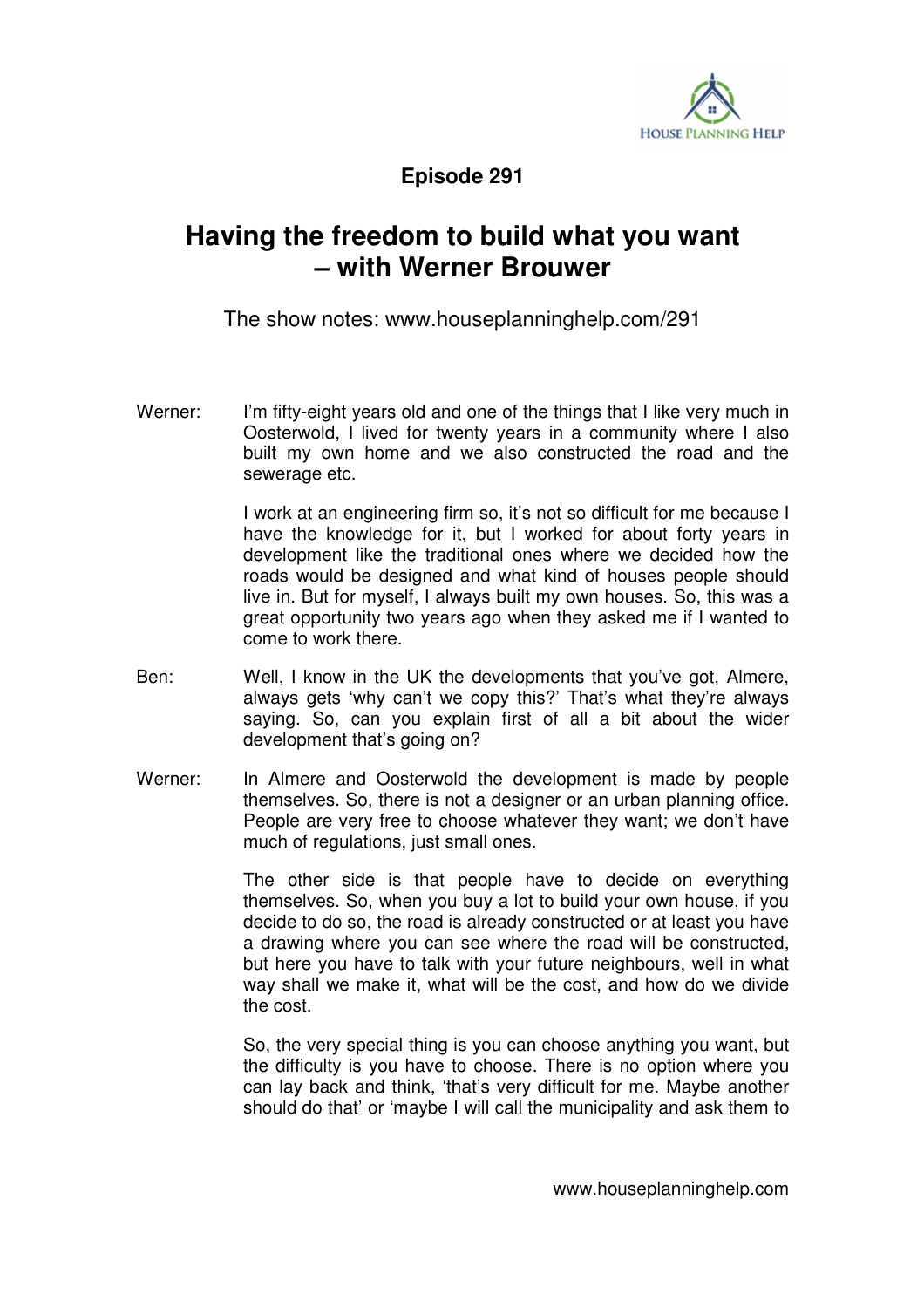

**Episode 291** 

## **Having the freedom to build what you want – with Werner Brouwer**

The show notes: www.houseplanninghelp.com/291

Werner: I'm fifty-eight years old and one of the things that I like very much in Oosterwold, I lived for twenty years in a community where I also built my own home and we also constructed the road and the sewerage etc.

> I work at an engineering firm so, it's not so difficult for me because I have the knowledge for it, but I worked for about forty years in development like the traditional ones where we decided how the roads would be designed and what kind of houses people should live in. But for myself, I always built my own houses. So, this was a great opportunity two years ago when they asked me if I wanted to come to work there.

- Ben: Well, I know in the UK the developments that you've got, Almere, always gets 'why can't we copy this?' That's what they're always saying. So, can you explain first of all a bit about the wider development that's going on?
- Werner: In Almere and Oosterwold the development is made by people themselves. So, there is not a designer or an urban planning office. People are very free to choose whatever they want; we don't have much of regulations, just small ones.

 The other side is that people have to decide on everything themselves. So, when you buy a lot to build your own house, if you decide to do so, the road is already constructed or at least you have a drawing where you can see where the road will be constructed, but here you have to talk with your future neighbours, well in what way shall we make it, what will be the cost, and how do we divide the cost.

 So, the very special thing is you can choose anything you want, but the difficulty is you have to choose. There is no option where you can lay back and think, 'that's very difficult for me. Maybe another should do that' or 'maybe I will call the municipality and ask them to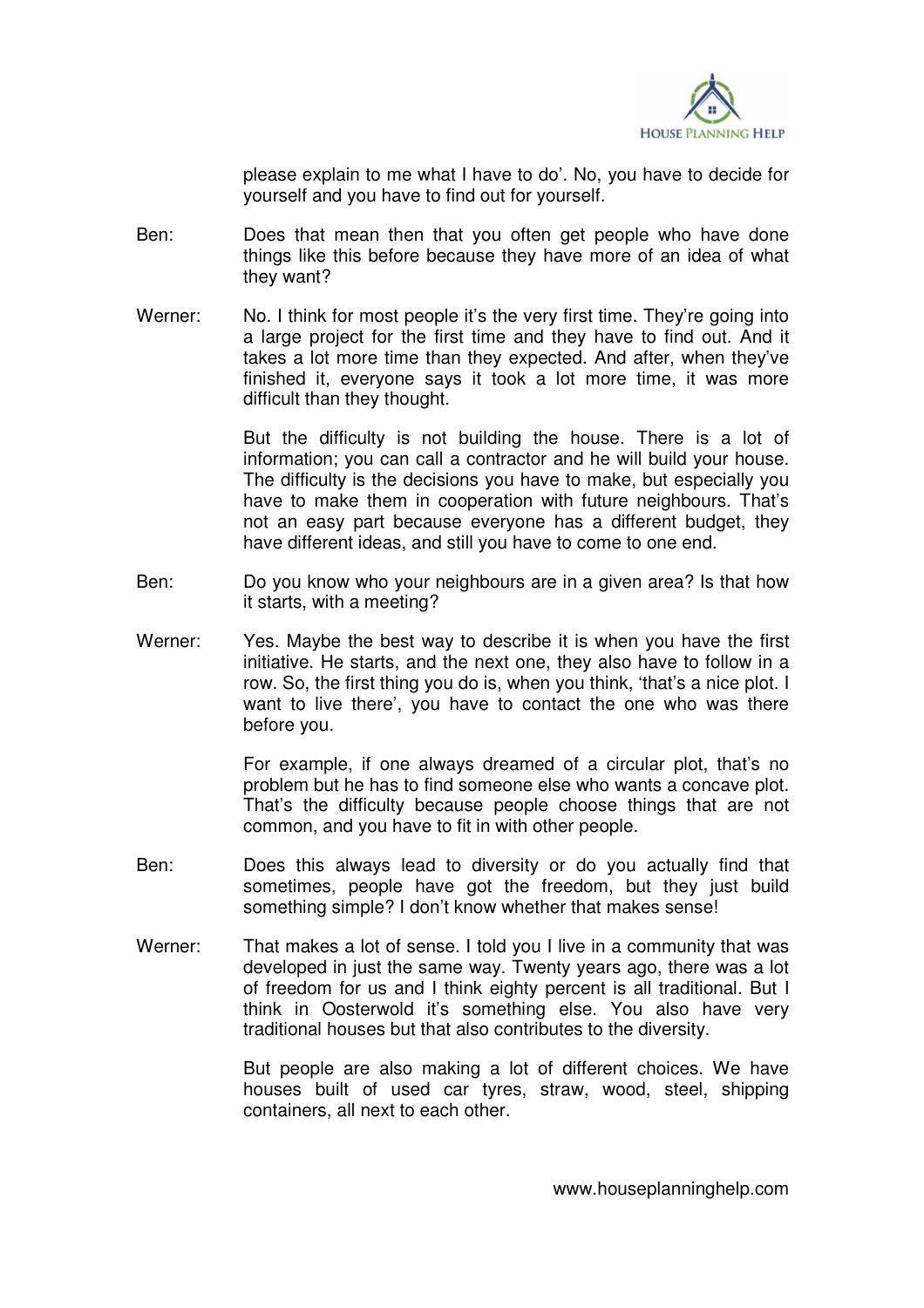

please explain to me what I have to do'. No, you have to decide for yourself and you have to find out for yourself.

- Ben: Does that mean then that you often get people who have done things like this before because they have more of an idea of what they want?
- Werner: No. I think for most people it's the very first time. They're going into a large project for the first time and they have to find out. And it takes a lot more time than they expected. And after, when they've finished it, everyone says it took a lot more time, it was more difficult than they thought.

 But the difficulty is not building the house. There is a lot of information; you can call a contractor and he will build your house. The difficulty is the decisions you have to make, but especially you have to make them in cooperation with future neighbours. That's not an easy part because everyone has a different budget, they have different ideas, and still you have to come to one end.

- Ben: Do you know who your neighbours are in a given area? Is that how it starts, with a meeting?
- Werner: Yes. Maybe the best way to describe it is when you have the first initiative. He starts, and the next one, they also have to follow in a row. So, the first thing you do is, when you think, 'that's a nice plot. I want to live there', you have to contact the one who was there before you.

 For example, if one always dreamed of a circular plot, that's no problem but he has to find someone else who wants a concave plot. That's the difficulty because people choose things that are not common, and you have to fit in with other people.

- Ben: Does this always lead to diversity or do you actually find that sometimes, people have got the freedom, but they just build something simple? I don't know whether that makes sense!
- Werner: That makes a lot of sense. I told you I live in a community that was developed in just the same way. Twenty years ago, there was a lot of freedom for us and I think eighty percent is all traditional. But I think in Oosterwold it's something else. You also have very traditional houses but that also contributes to the diversity.

 But people are also making a lot of different choices. We have houses built of used car tyres, straw, wood, steel, shipping containers, all next to each other.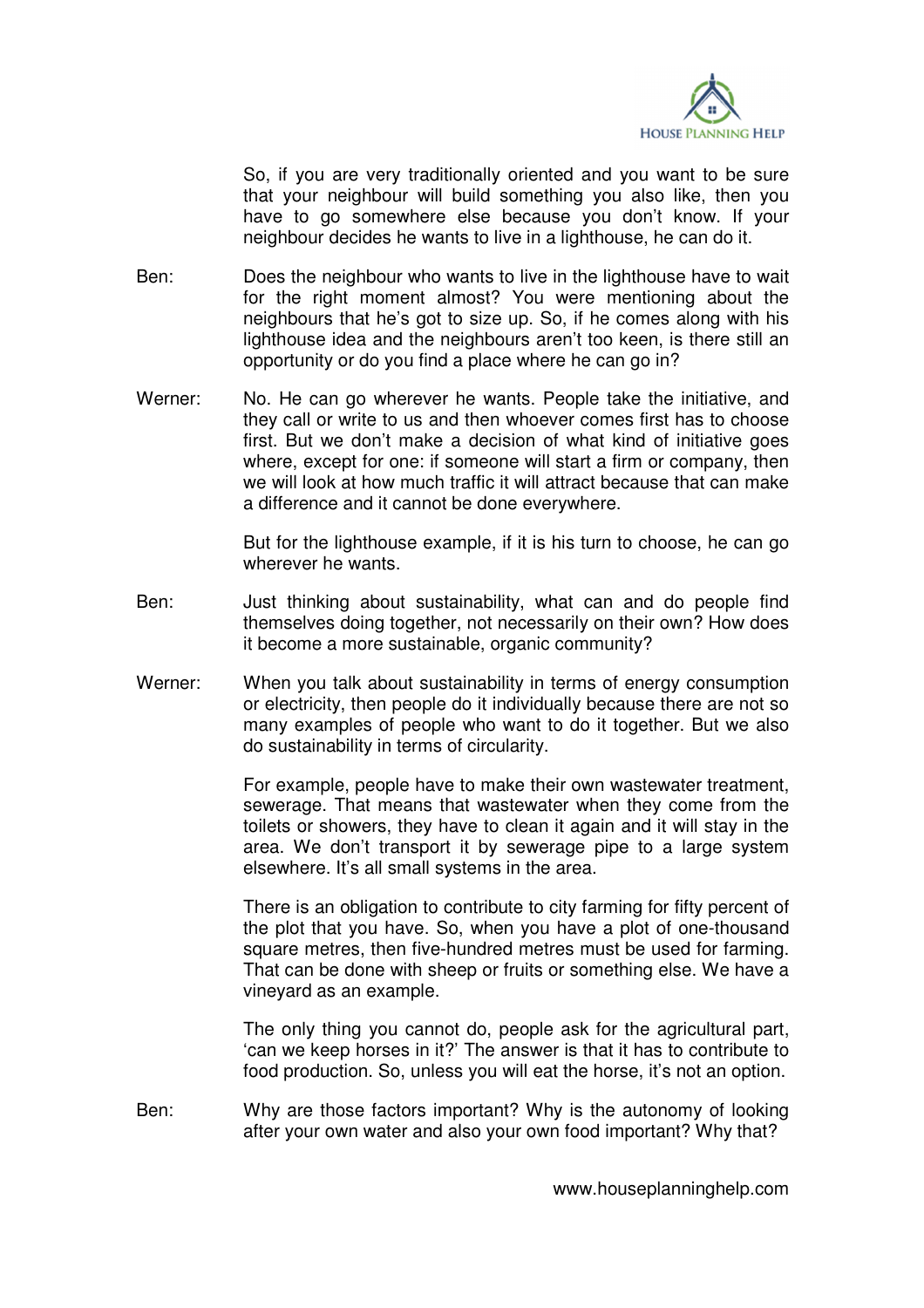

 So, if you are very traditionally oriented and you want to be sure that your neighbour will build something you also like, then you have to go somewhere else because you don't know. If your neighbour decides he wants to live in a lighthouse, he can do it.

- Ben: Does the neighbour who wants to live in the lighthouse have to wait for the right moment almost? You were mentioning about the neighbours that he's got to size up. So, if he comes along with his lighthouse idea and the neighbours aren't too keen, is there still an opportunity or do you find a place where he can go in?
- Werner: No. He can go wherever he wants. People take the initiative, and they call or write to us and then whoever comes first has to choose first. But we don't make a decision of what kind of initiative goes where, except for one: if someone will start a firm or company, then we will look at how much traffic it will attract because that can make a difference and it cannot be done everywhere.

 But for the lighthouse example, if it is his turn to choose, he can go wherever he wants.

- Ben: Just thinking about sustainability, what can and do people find themselves doing together, not necessarily on their own? How does it become a more sustainable, organic community?
- Werner: When you talk about sustainability in terms of energy consumption or electricity, then people do it individually because there are not so many examples of people who want to do it together. But we also do sustainability in terms of circularity.

 For example, people have to make their own wastewater treatment, sewerage. That means that wastewater when they come from the toilets or showers, they have to clean it again and it will stay in the area. We don't transport it by sewerage pipe to a large system elsewhere. It's all small systems in the area.

 There is an obligation to contribute to city farming for fifty percent of the plot that you have. So, when you have a plot of one-thousand square metres, then five-hundred metres must be used for farming. That can be done with sheep or fruits or something else. We have a vineyard as an example.

 The only thing you cannot do, people ask for the agricultural part, 'can we keep horses in it?' The answer is that it has to contribute to food production. So, unless you will eat the horse, it's not an option.

Ben: Why are those factors important? Why is the autonomy of looking after your own water and also your own food important? Why that?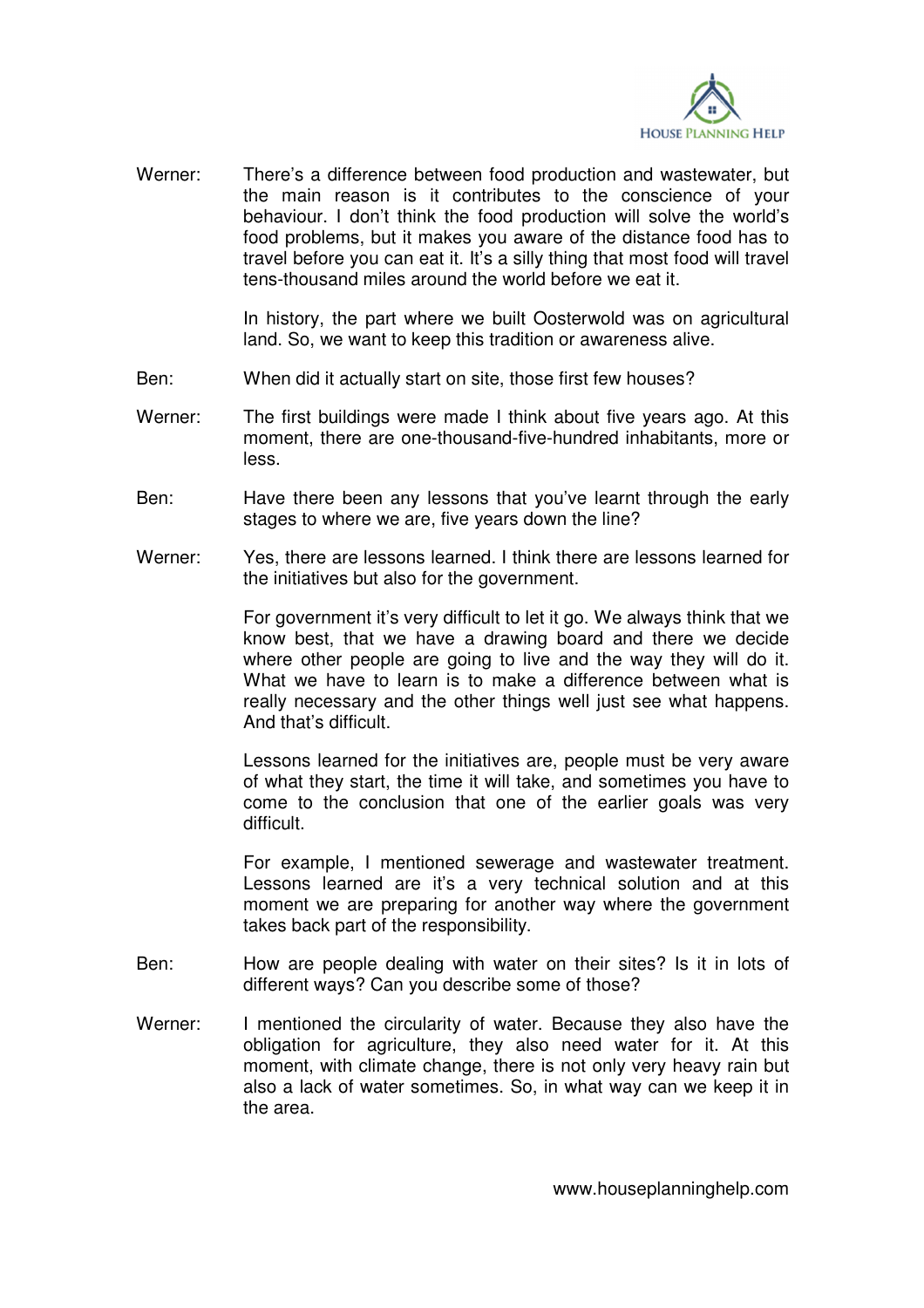

Werner: There's a difference between food production and wastewater, but the main reason is it contributes to the conscience of your behaviour. I don't think the food production will solve the world's food problems, but it makes you aware of the distance food has to travel before you can eat it. It's a silly thing that most food will travel tens-thousand miles around the world before we eat it.

> In history, the part where we built Oosterwold was on agricultural land. So, we want to keep this tradition or awareness alive.

- Ben: When did it actually start on site, those first few houses?
- Werner: The first buildings were made I think about five years ago. At this moment, there are one-thousand-five-hundred inhabitants, more or less.
- Ben: Have there been any lessons that you've learnt through the early stages to where we are, five years down the line?
- Werner: Yes, there are lessons learned. I think there are lessons learned for the initiatives but also for the government.

 For government it's very difficult to let it go. We always think that we know best, that we have a drawing board and there we decide where other people are going to live and the way they will do it. What we have to learn is to make a difference between what is really necessary and the other things well just see what happens. And that's difficult.

 Lessons learned for the initiatives are, people must be very aware of what they start, the time it will take, and sometimes you have to come to the conclusion that one of the earlier goals was very difficult.

 For example, I mentioned sewerage and wastewater treatment. Lessons learned are it's a very technical solution and at this moment we are preparing for another way where the government takes back part of the responsibility.

- Ben: How are people dealing with water on their sites? Is it in lots of different ways? Can you describe some of those?
- Werner: I mentioned the circularity of water. Because they also have the obligation for agriculture, they also need water for it. At this moment, with climate change, there is not only very heavy rain but also a lack of water sometimes. So, in what way can we keep it in the area.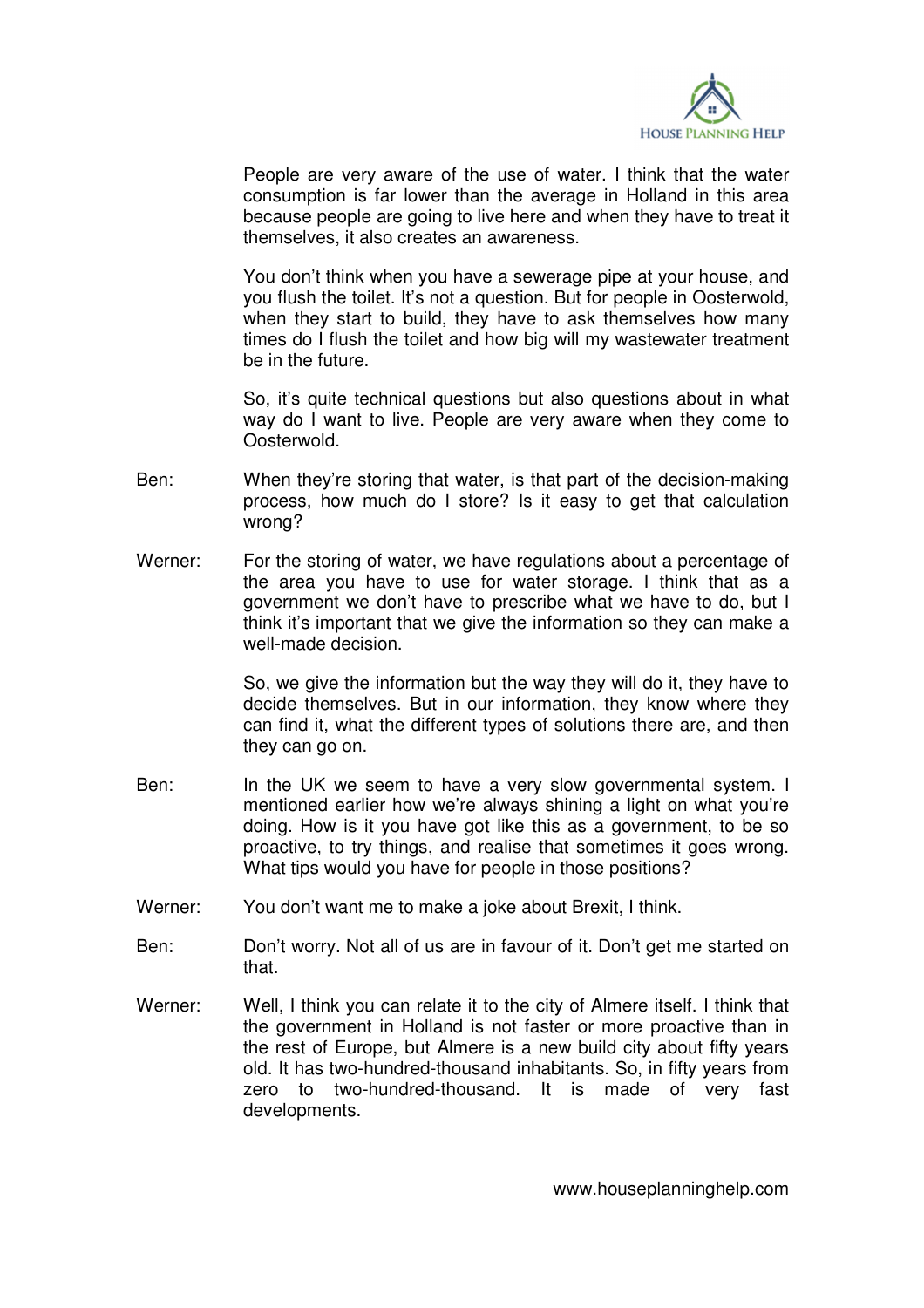

 People are very aware of the use of water. I think that the water consumption is far lower than the average in Holland in this area because people are going to live here and when they have to treat it themselves, it also creates an awareness.

 You don't think when you have a sewerage pipe at your house, and you flush the toilet. It's not a question. But for people in Oosterwold, when they start to build, they have to ask themselves how many times do I flush the toilet and how big will my wastewater treatment be in the future.

 So, it's quite technical questions but also questions about in what way do I want to live. People are very aware when they come to Oosterwold.

- Ben: When they're storing that water, is that part of the decision-making process, how much do I store? Is it easy to get that calculation wrong?
- Werner: For the storing of water, we have regulations about a percentage of the area you have to use for water storage. I think that as a government we don't have to prescribe what we have to do, but I think it's important that we give the information so they can make a well-made decision.

 So, we give the information but the way they will do it, they have to decide themselves. But in our information, they know where they can find it, what the different types of solutions there are, and then they can go on.

- Ben: In the UK we seem to have a very slow governmental system. I mentioned earlier how we're always shining a light on what you're doing. How is it you have got like this as a government, to be so proactive, to try things, and realise that sometimes it goes wrong. What tips would you have for people in those positions?
- Werner: You don't want me to make a joke about Brexit, I think.
- Ben: Don't worry. Not all of us are in favour of it. Don't get me started on that.
- Werner: Well, I think you can relate it to the city of Almere itself. I think that the government in Holland is not faster or more proactive than in the rest of Europe, but Almere is a new build city about fifty years old. It has two-hundred-thousand inhabitants. So, in fifty years from zero to two-hundred-thousand. It is made of very fast developments.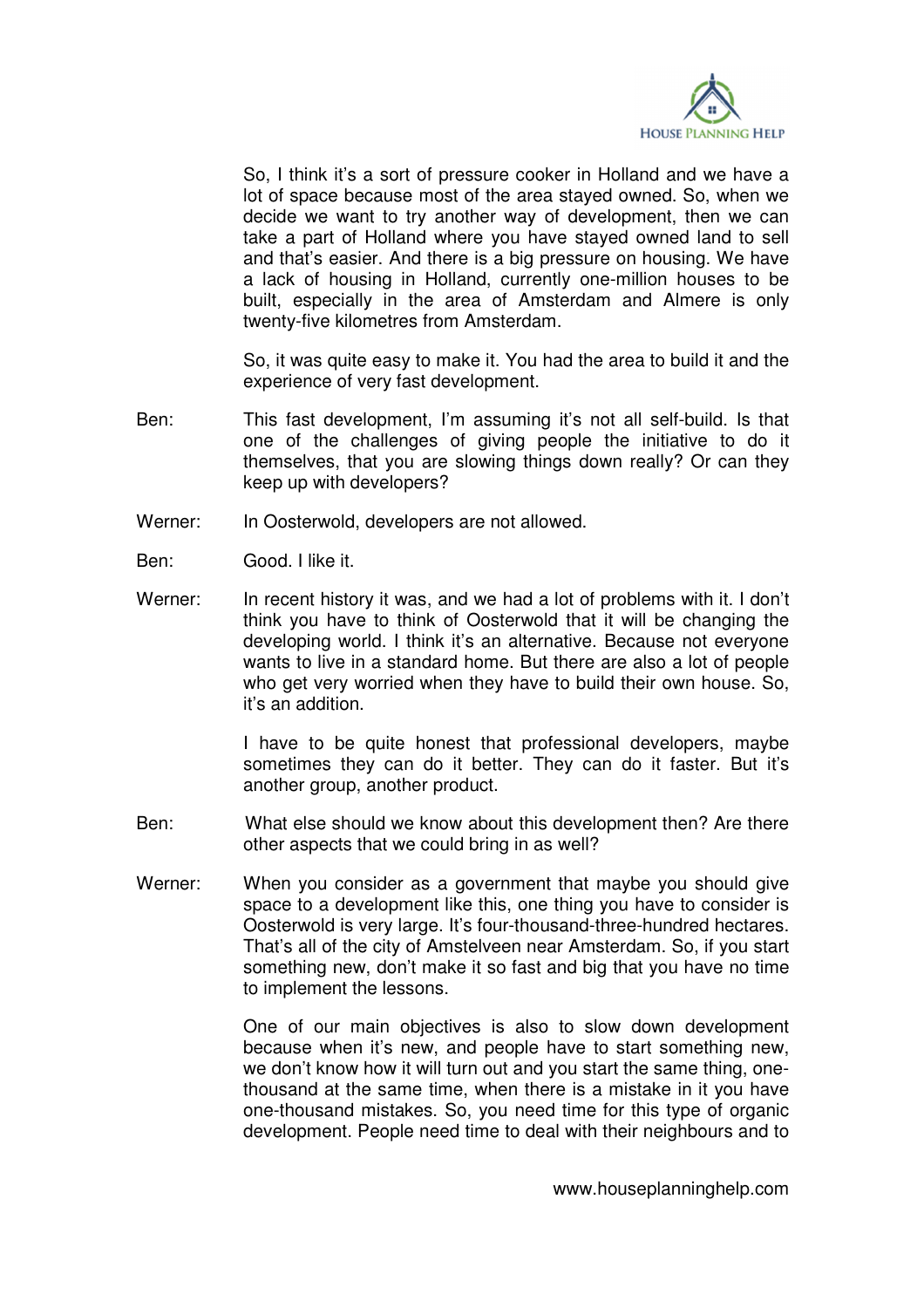

 So, I think it's a sort of pressure cooker in Holland and we have a lot of space because most of the area stayed owned. So, when we decide we want to try another way of development, then we can take a part of Holland where you have stayed owned land to sell and that's easier. And there is a big pressure on housing. We have a lack of housing in Holland, currently one-million houses to be built, especially in the area of Amsterdam and Almere is only twenty-five kilometres from Amsterdam.

 So, it was quite easy to make it. You had the area to build it and the experience of very fast development.

- Ben: This fast development, I'm assuming it's not all self-build. Is that one of the challenges of giving people the initiative to do it themselves, that you are slowing things down really? Or can they keep up with developers?
- Werner: In Oosterwold, developers are not allowed.
- Ben: Good. I like it.
- Werner: In recent history it was, and we had a lot of problems with it. I don't think you have to think of Oosterwold that it will be changing the developing world. I think it's an alternative. Because not everyone wants to live in a standard home. But there are also a lot of people who get very worried when they have to build their own house. So, it's an addition.

 I have to be quite honest that professional developers, maybe sometimes they can do it better. They can do it faster. But it's another group, another product.

- Ben: What else should we know about this development then? Are there other aspects that we could bring in as well?
- Werner: When you consider as a government that maybe you should give space to a development like this, one thing you have to consider is Oosterwold is very large. It's four-thousand-three-hundred hectares. That's all of the city of Amstelveen near Amsterdam. So, if you start something new, don't make it so fast and big that you have no time to implement the lessons.

 One of our main objectives is also to slow down development because when it's new, and people have to start something new, we don't know how it will turn out and you start the same thing, onethousand at the same time, when there is a mistake in it you have one-thousand mistakes. So, you need time for this type of organic development. People need time to deal with their neighbours and to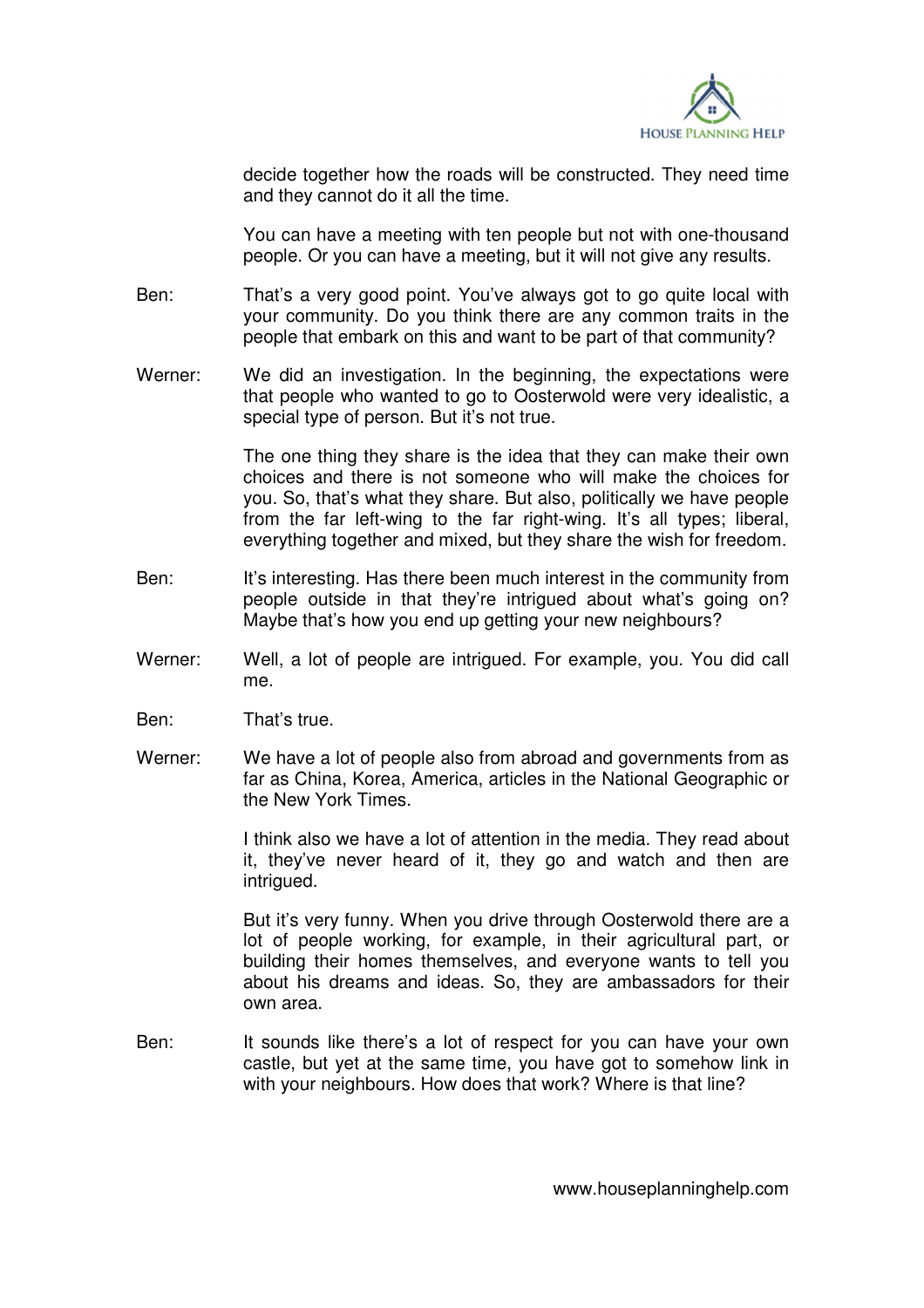

decide together how the roads will be constructed. They need time and they cannot do it all the time.

 You can have a meeting with ten people but not with one-thousand people. Or you can have a meeting, but it will not give any results.

- Ben: That's a very good point. You've always got to go quite local with your community. Do you think there are any common traits in the people that embark on this and want to be part of that community?
- Werner: We did an investigation. In the beginning, the expectations were that people who wanted to go to Oosterwold were very idealistic, a special type of person. But it's not true.

 The one thing they share is the idea that they can make their own choices and there is not someone who will make the choices for you. So, that's what they share. But also, politically we have people from the far left-wing to the far right-wing. It's all types; liberal, everything together and mixed, but they share the wish for freedom.

- Ben: It's interesting. Has there been much interest in the community from people outside in that they're intrigued about what's going on? Maybe that's how you end up getting your new neighbours?
- Werner: Well, a lot of people are intrigued. For example, you. You did call me.
- Ben: That's true.
- Werner: We have a lot of people also from abroad and governments from as far as China, Korea, America, articles in the National Geographic or the New York Times.

 I think also we have a lot of attention in the media. They read about it, they've never heard of it, they go and watch and then are intrigued.

 But it's very funny. When you drive through Oosterwold there are a lot of people working, for example, in their agricultural part, or building their homes themselves, and everyone wants to tell you about his dreams and ideas. So, they are ambassadors for their own area.

Ben: It sounds like there's a lot of respect for you can have your own castle, but yet at the same time, you have got to somehow link in with your neighbours. How does that work? Where is that line?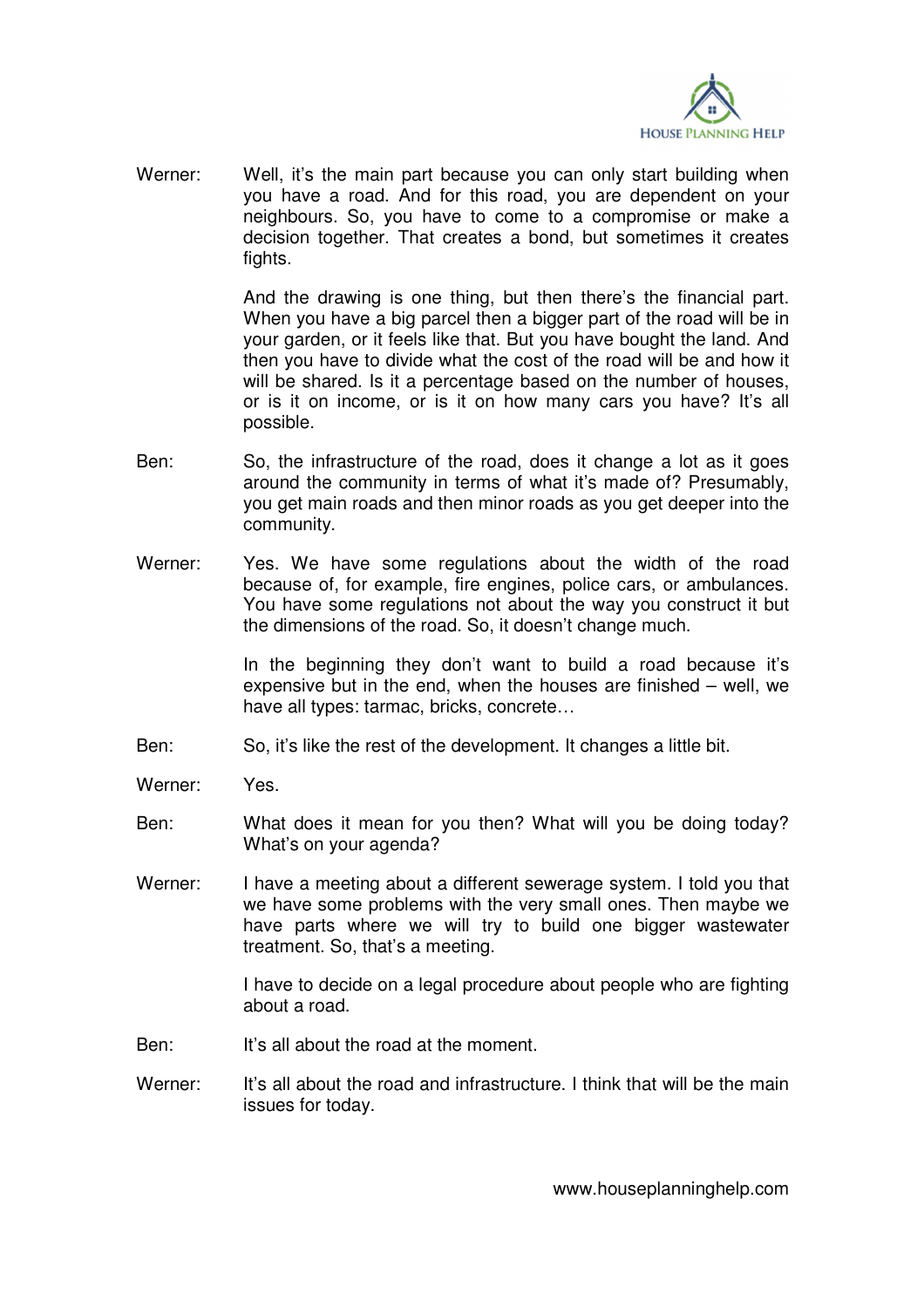

Werner: Well, it's the main part because you can only start building when you have a road. And for this road, you are dependent on your neighbours. So, you have to come to a compromise or make a decision together. That creates a bond, but sometimes it creates fights.

> And the drawing is one thing, but then there's the financial part. When you have a big parcel then a bigger part of the road will be in your garden, or it feels like that. But you have bought the land. And then you have to divide what the cost of the road will be and how it will be shared. Is it a percentage based on the number of houses, or is it on income, or is it on how many cars you have? It's all possible.

- Ben: So, the infrastructure of the road, does it change a lot as it goes around the community in terms of what it's made of? Presumably, you get main roads and then minor roads as you get deeper into the community.
- Werner: Yes. We have some regulations about the width of the road because of, for example, fire engines, police cars, or ambulances. You have some regulations not about the way you construct it but the dimensions of the road. So, it doesn't change much.

 In the beginning they don't want to build a road because it's expensive but in the end, when the houses are finished – well, we have all types: tarmac, bricks, concrete…

- Ben: So, it's like the rest of the development. It changes a little bit.
- Werner: Yes.
- Ben: What does it mean for you then? What will you be doing today? What's on your agenda?
- Werner: I have a meeting about a different sewerage system. I told you that we have some problems with the very small ones. Then maybe we have parts where we will try to build one bigger wastewater treatment. So, that's a meeting.

 I have to decide on a legal procedure about people who are fighting about a road.

- Ben: It's all about the road at the moment.
- Werner: It's all about the road and infrastructure. I think that will be the main issues for today.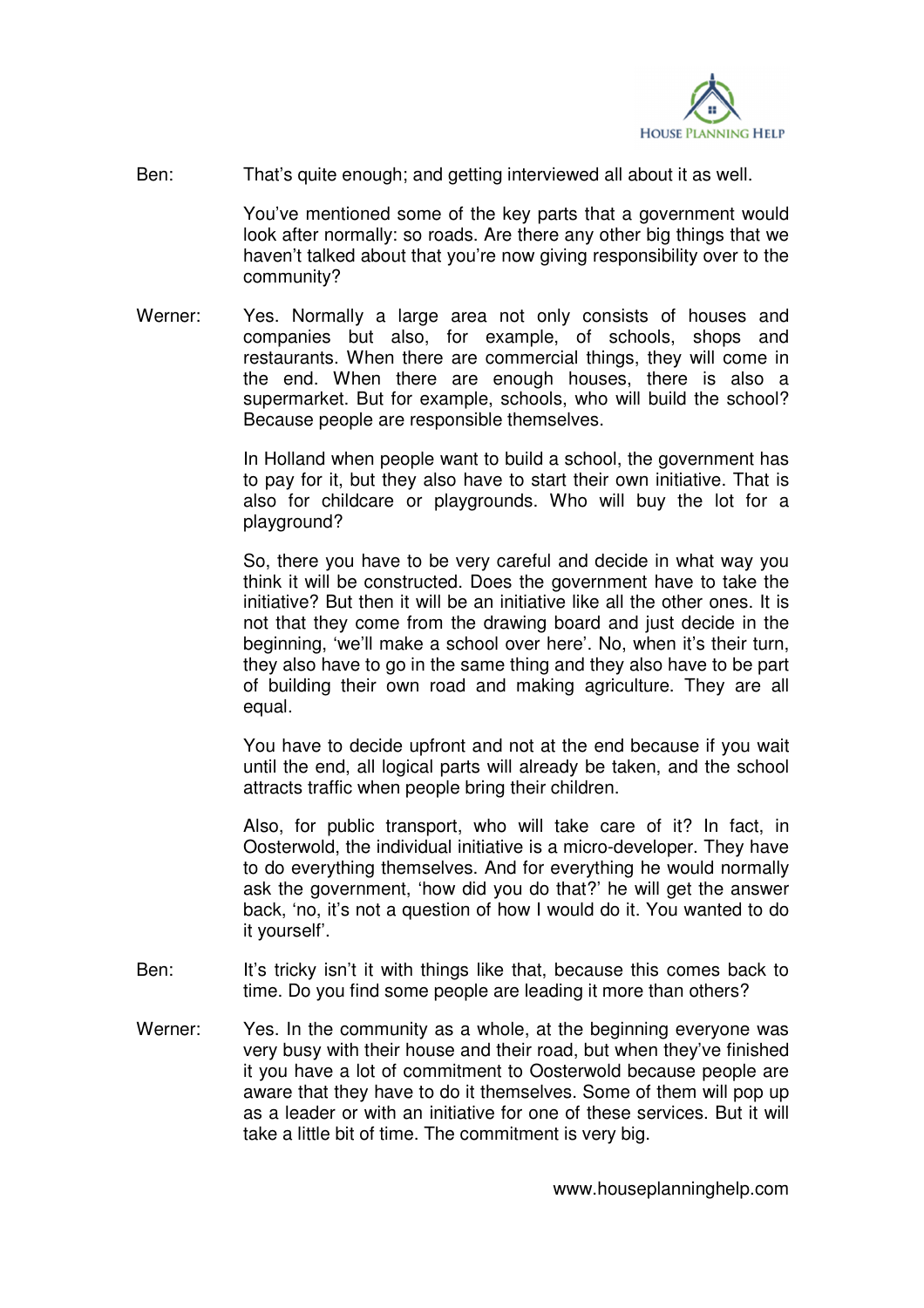

Ben: That's quite enough; and getting interviewed all about it as well.

 You've mentioned some of the key parts that a government would look after normally: so roads. Are there any other big things that we haven't talked about that you're now giving responsibility over to the community?

Werner: Yes. Normally a large area not only consists of houses and companies but also, for example, of schools, shops and restaurants. When there are commercial things, they will come in the end. When there are enough houses, there is also a supermarket. But for example, schools, who will build the school? Because people are responsible themselves.

> In Holland when people want to build a school, the government has to pay for it, but they also have to start their own initiative. That is also for childcare or playgrounds. Who will buy the lot for a playground?

> So, there you have to be very careful and decide in what way you think it will be constructed. Does the government have to take the initiative? But then it will be an initiative like all the other ones. It is not that they come from the drawing board and just decide in the beginning, 'we'll make a school over here'. No, when it's their turn, they also have to go in the same thing and they also have to be part of building their own road and making agriculture. They are all equal.

> You have to decide upfront and not at the end because if you wait until the end, all logical parts will already be taken, and the school attracts traffic when people bring their children.

> Also, for public transport, who will take care of it? In fact, in Oosterwold, the individual initiative is a micro-developer. They have to do everything themselves. And for everything he would normally ask the government, 'how did you do that?' he will get the answer back, 'no, it's not a question of how I would do it. You wanted to do it yourself'.

- Ben: It's tricky isn't it with things like that, because this comes back to time. Do you find some people are leading it more than others?
- Werner: Yes. In the community as a whole, at the beginning everyone was very busy with their house and their road, but when they've finished it you have a lot of commitment to Oosterwold because people are aware that they have to do it themselves. Some of them will pop up as a leader or with an initiative for one of these services. But it will take a little bit of time. The commitment is very big.